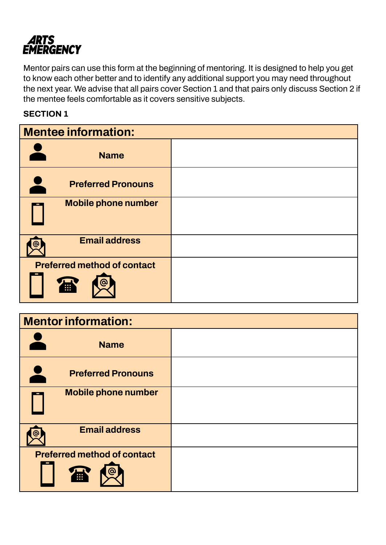

Mentor pairs can use this form at the beginning of mentoring. It is designed to help you get to know each other better and to identify any additional support you may need throughout the next year. We advise that all pairs cover Section 1 and that pairs only discuss Section 2 if the mentee feels comfortable as it covers sensitive subjects.

#### **SECTION 1**

| <b>Mentee information:</b>                   |  |  |
|----------------------------------------------|--|--|
| <b>Name</b>                                  |  |  |
| <b>Preferred Pronouns</b>                    |  |  |
| <b>Mobile phone number</b>                   |  |  |
| <b>Email address</b>                         |  |  |
| <b>Preferred method of contact</b><br>ര<br>m |  |  |

| <b>Mentor information:</b>              |  |
|-----------------------------------------|--|
| <b>Name</b>                             |  |
| <b>Preferred Pronouns</b>               |  |
| <b>Mobile phone number</b>              |  |
| <b>Email address</b>                    |  |
| <b>Preferred method of contact</b><br>霊 |  |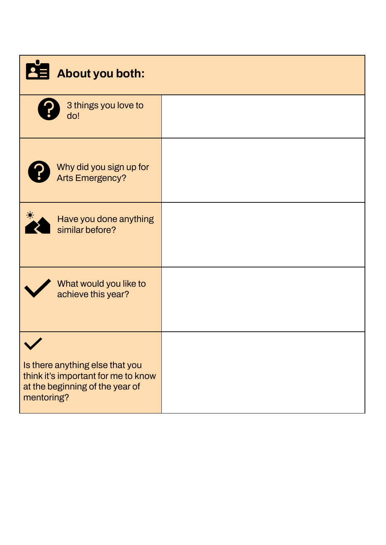| About you both:                                                                                                         |  |
|-------------------------------------------------------------------------------------------------------------------------|--|
| 3 things you love to<br>do!                                                                                             |  |
| Why did you sign up for<br><b>Arts Emergency?</b>                                                                       |  |
| Have you done anything<br>similar before?                                                                               |  |
| What would you like to<br>achieve this year?                                                                            |  |
| Is there anything else that you<br>think it's important for me to know<br>at the beginning of the year of<br>mentoring? |  |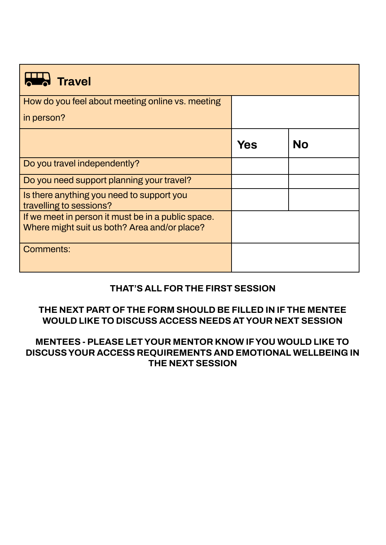| Travel                                                                                             |     |           |  |
|----------------------------------------------------------------------------------------------------|-----|-----------|--|
| How do you feel about meeting online vs. meeting                                                   |     |           |  |
| in person?                                                                                         |     |           |  |
|                                                                                                    | Yes | <b>No</b> |  |
| Do you travel independently?                                                                       |     |           |  |
| Do you need support planning your travel?                                                          |     |           |  |
| Is there anything you need to support you<br>travelling to sessions?                               |     |           |  |
| If we meet in person it must be in a public space.<br>Where might suit us both? Area and/or place? |     |           |  |
| Comments:                                                                                          |     |           |  |

## **THAT'S ALL FOR THE FIRST SESSION**

### **THE NEXT PART OF THE FORM SHOULD BE FILLED IN IF THE MENTEE WOULD LIKE TO DISCUSS ACCESS NEEDS AT YOUR NEXT SESSION**

#### **MENTEES - PLEASE LET YOUR MENTOR KNOW IF YOU WOULD LIKE TO DISCUSS YOUR ACCESS REQUIREMENTS AND EMOTIONAL WELLBEING IN THE NEXT SESSION**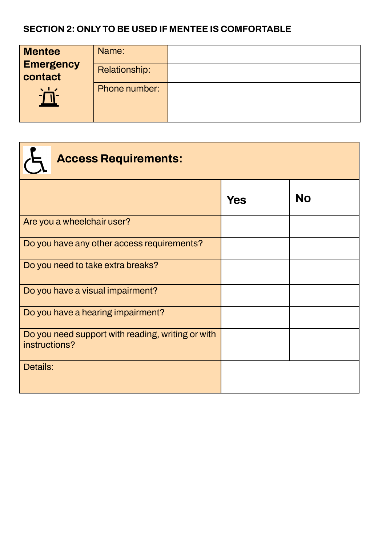## **SECTION 2: ONLY TO BE USED IF MENTEE IS COMFORTABLE**

| <b>Mentee</b><br><b>Emergency</b><br>contact | Name:<br>Relationship: |  |
|----------------------------------------------|------------------------|--|
| $\sqrt{17}$<br>$\blacksquare$                | Phone number:          |  |

| <b>Access Requirements:</b>                                        |            |           |
|--------------------------------------------------------------------|------------|-----------|
|                                                                    | <b>Yes</b> | <b>No</b> |
| Are you a wheelchair user?                                         |            |           |
| Do you have any other access requirements?                         |            |           |
| Do you need to take extra breaks?                                  |            |           |
| Do you have a visual impairment?                                   |            |           |
| Do you have a hearing impairment?                                  |            |           |
| Do you need support with reading, writing or with<br>instructions? |            |           |
| Details:                                                           |            |           |